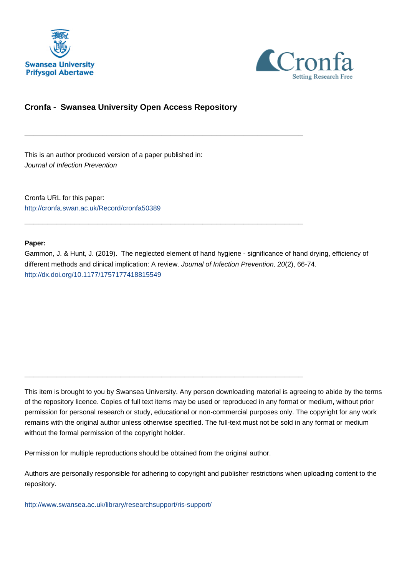



# **Cronfa - Swansea University Open Access Repository**

\_\_\_\_\_\_\_\_\_\_\_\_\_\_\_\_\_\_\_\_\_\_\_\_\_\_\_\_\_\_\_\_\_\_\_\_\_\_\_\_\_\_\_\_\_\_\_\_\_\_\_\_\_\_\_\_\_\_\_\_\_

\_\_\_\_\_\_\_\_\_\_\_\_\_\_\_\_\_\_\_\_\_\_\_\_\_\_\_\_\_\_\_\_\_\_\_\_\_\_\_\_\_\_\_\_\_\_\_\_\_\_\_\_\_\_\_\_\_\_\_\_\_

\_\_\_\_\_\_\_\_\_\_\_\_\_\_\_\_\_\_\_\_\_\_\_\_\_\_\_\_\_\_\_\_\_\_\_\_\_\_\_\_\_\_\_\_\_\_\_\_\_\_\_\_\_\_\_\_\_\_\_\_\_

This is an author produced version of a paper published in: Journal of Infection Prevention

Cronfa URL for this paper: <http://cronfa.swan.ac.uk/Record/cronfa50389>

#### **Paper:**

Gammon, J. & Hunt, J. (2019). The neglected element of hand hygiene - significance of hand drying, efficiency of different methods and clinical implication: A review. Journal of Infection Prevention, 20(2), 66-74. <http://dx.doi.org/10.1177/1757177418815549>

This item is brought to you by Swansea University. Any person downloading material is agreeing to abide by the terms of the repository licence. Copies of full text items may be used or reproduced in any format or medium, without prior permission for personal research or study, educational or non-commercial purposes only. The copyright for any work remains with the original author unless otherwise specified. The full-text must not be sold in any format or medium without the formal permission of the copyright holder.

Permission for multiple reproductions should be obtained from the original author.

Authors are personally responsible for adhering to copyright and publisher restrictions when uploading content to the repository.

[http://www.swansea.ac.uk/library/researchsupport/ris-support/](http://www.swansea.ac.uk/library/researchsupport/ris-support/ )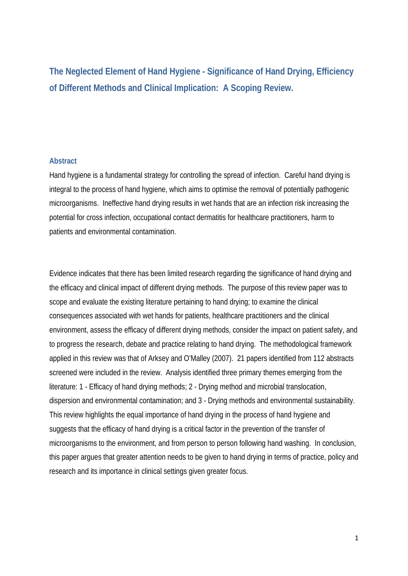**The Neglected Element of Hand Hygiene - Significance of Hand Drying, Efficiency of Different Methods and Clinical Implication: A Scoping Review.**

### **Abstract**

Hand hygiene is a fundamental strategy for controlling the spread of infection. Careful hand drying is integral to the process of hand hygiene, which aims to optimise the removal of potentially pathogenic microorganisms. Ineffective hand drying results in wet hands that are an infection risk increasing the potential for cross infection, occupational contact dermatitis for healthcare practitioners, harm to patients and environmental contamination.

Evidence indicates that there has been limited research regarding the significance of hand drying and the efficacy and clinical impact of different drying methods. The purpose of this review paper was to scope and evaluate the existing literature pertaining to hand drying; to examine the clinical consequences associated with wet hands for patients, healthcare practitioners and the clinical environment, assess the efficacy of different drying methods, consider the impact on patient safety, and to progress the research, debate and practice relating to hand drying. The methodological framework applied in this review was that of Arksey and O'Malley (2007). 21 papers identified from 112 abstracts screened were included in the review. Analysis identified three primary themes emerging from the literature: 1 - Efficacy of hand drying methods; 2 - Drying method and microbial translocation, dispersion and environmental contamination; and 3 - Drying methods and environmental sustainability. This review highlights the equal importance of hand drying in the process of hand hygiene and suggests that the efficacy of hand drying is a critical factor in the prevention of the transfer of microorganisms to the environment, and from person to person following hand washing. In conclusion, this paper argues that greater attention needs to be given to hand drying in terms of practice, policy and research and its importance in clinical settings given greater focus.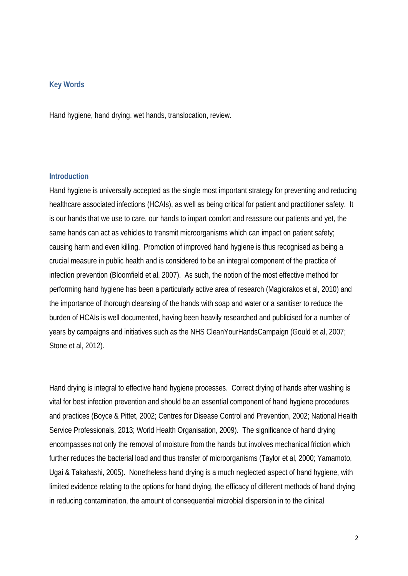### **Key Words**

Hand hygiene, hand drying, wet hands, translocation, review.

### **Introduction**

Hand hygiene is universally accepted as the single most important strategy for preventing and reducing healthcare associated infections (HCAIs), as well as being critical for patient and practitioner safety. It is our hands that we use to care, our hands to impart comfort and reassure our patients and yet, the same hands can act as vehicles to transmit microorganisms which can impact on patient safety; causing harm and even killing. Promotion of improved hand hygiene is thus recognised as being a crucial measure in public health and is considered to be an integral component of the practice of infection prevention (Bloomfield et al, 2007). As such, the notion of the most effective method for performing hand hygiene has been a particularly active area of research (Magiorakos et al, 2010) and the importance of thorough cleansing of the hands with soap and water or a sanitiser to reduce the burden of HCAIs is well documented, having been heavily researched and publicised for a number of years by campaigns and initiatives such as the NHS CleanYourHandsCampaign (Gould et al, 2007; Stone et al, 2012).

Hand drying is integral to effective hand hygiene processes. Correct drying of hands after washing is vital for best infection prevention and should be an essential component of hand hygiene procedures and practices (Boyce & Pittet, 2002; Centres for Disease Control and Prevention, 2002; National Health Service Professionals, 2013; World Health Organisation, 2009). The significance of hand drying encompasses not only the removal of moisture from the hands but involves mechanical friction which further reduces the bacterial load and thus transfer of microorganisms (Taylor et al, 2000; Yamamoto, Ugai & Takahashi, 2005). Nonetheless hand drying is a much neglected aspect of hand hygiene, with limited evidence relating to the options for hand drying, the efficacy of different methods of hand drying in reducing contamination, the amount of consequential microbial dispersion in to the clinical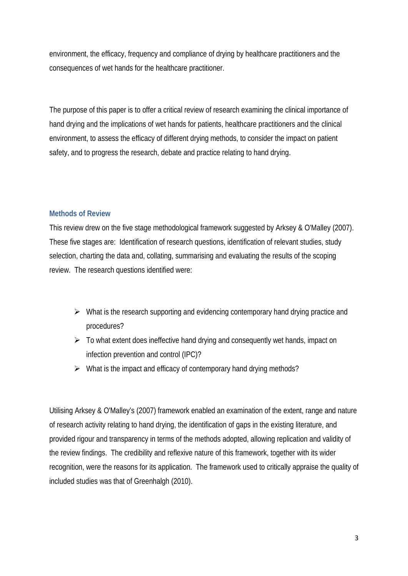environment, the efficacy, frequency and compliance of drying by healthcare practitioners and the consequences of wet hands for the healthcare practitioner.

The purpose of this paper is to offer a critical review of research examining the clinical importance of hand drying and the implications of wet hands for patients, healthcare practitioners and the clinical environment, to assess the efficacy of different drying methods, to consider the impact on patient safety, and to progress the research, debate and practice relating to hand drying.

# **Methods of Review**

This review drew on the five stage methodological framework suggested by Arksey & O'Malley (2007). These five stages are: Identification of research questions, identification of relevant studies, study selection, charting the data and, collating, summarising and evaluating the results of the scoping review. The research questions identified were:

- $\triangleright$  What is the research supporting and evidencing contemporary hand drying practice and procedures?
- $\triangleright$  To what extent does ineffective hand drying and consequently wet hands, impact on infection prevention and control (IPC)?
- $\triangleright$  What is the impact and efficacy of contemporary hand drying methods?

Utilising Arksey & O'Malley's (2007) framework enabled an examination of the extent, range and nature of research activity relating to hand drying, the identification of gaps in the existing literature, and provided rigour and transparency in terms of the methods adopted, allowing replication and validity of the review findings. The credibility and reflexive nature of this framework, together with its wider recognition, were the reasons for its application. The framework used to critically appraise the quality of included studies was that of Greenhalgh (2010).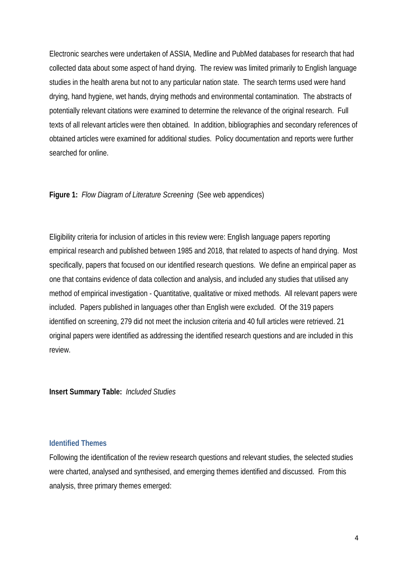Electronic searches were undertaken of ASSIA, Medline and PubMed databases for research that had collected data about some aspect of hand drying. The review was limited primarily to English language studies in the health arena but not to any particular nation state. The search terms used were hand drying, hand hygiene, wet hands, drying methods and environmental contamination. The abstracts of potentially relevant citations were examined to determine the relevance of the original research. Full texts of all relevant articles were then obtained. In addition, bibliographies and secondary references of obtained articles were examined for additional studies. Policy documentation and reports were further searched for online.

### **Figure 1:** *Flow Diagram of Literature Screening* (See web appendices)

Eligibility criteria for inclusion of articles in this review were: English language papers reporting empirical research and published between 1985 and 2018, that related to aspects of hand drying. Most specifically, papers that focused on our identified research questions. We define an empirical paper as one that contains evidence of data collection and analysis, and included any studies that utilised any method of empirical investigation - Quantitative, qualitative or mixed methods. All relevant papers were included. Papers published in languages other than English were excluded. Of the 319 papers identified on screening, 279 did not meet the inclusion criteria and 40 full articles were retrieved. 21 original papers were identified as addressing the identified research questions and are included in this review.

**Insert Summary Table:** *Included Studies* 

#### **Identified Themes**

Following the identification of the review research questions and relevant studies, the selected studies were charted, analysed and synthesised, and emerging themes identified and discussed. From this analysis, three primary themes emerged: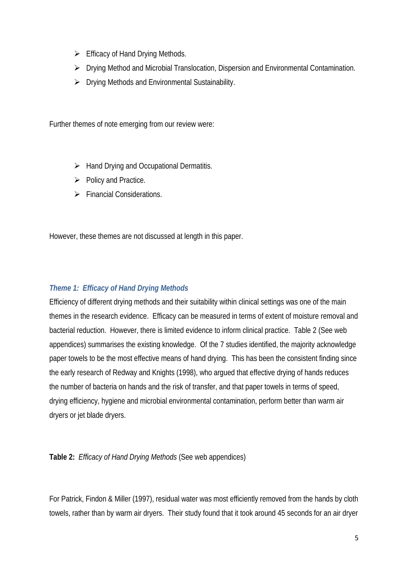- $\triangleright$  Efficacy of Hand Drying Methods.
- Drying Method and Microbial Translocation, Dispersion and Environmental Contamination.
- $\triangleright$  Drying Methods and Environmental Sustainability.

Further themes of note emerging from our review were:

- $\triangleright$  Hand Drying and Occupational Dermatitis.
- $\triangleright$  Policy and Practice.
- $\triangleright$  Financial Considerations.

However, these themes are not discussed at length in this paper.

# *Theme 1: Efficacy of Hand Drying Methods*

Efficiency of different drying methods and their suitability within clinical settings was one of the main themes in the research evidence. Efficacy can be measured in terms of extent of moisture removal and bacterial reduction. However, there is limited evidence to inform clinical practice. Table 2 (See web appendices) summarises the existing knowledge. Of the 7 studies identified, the majority acknowledge paper towels to be the most effective means of hand drying. This has been the consistent finding since the early research of Redway and Knights (1998), who argued that effective drying of hands reduces the number of bacteria on hands and the risk of transfer, and that paper towels in terms of speed, drying efficiency, hygiene and microbial environmental contamination, perform better than warm air dryers or jet blade dryers.

**Table 2:** *Efficacy of Hand Drying Methods* (See web appendices)

For Patrick, Findon & Miller (1997), residual water was most efficiently removed from the hands by cloth towels, rather than by warm air dryers. Their study found that it took around 45 seconds for an air dryer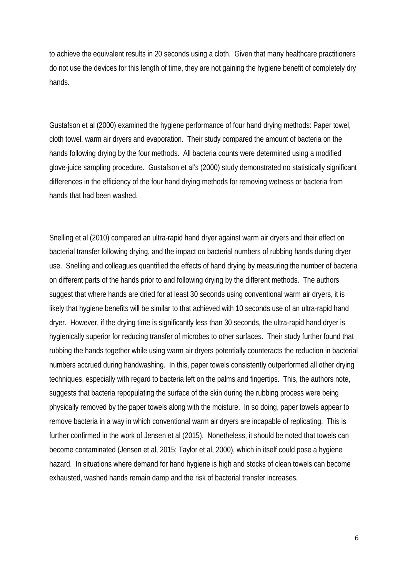to achieve the equivalent results in 20 seconds using a cloth. Given that many healthcare practitioners do not use the devices for this length of time, they are not gaining the hygiene benefit of completely dry hands.

Gustafson et al (2000) examined the hygiene performance of four hand drying methods: Paper towel, cloth towel, warm air dryers and evaporation. Their study compared the amount of bacteria on the hands following drying by the four methods. All bacteria counts were determined using a modified glove-juice sampling procedure. Gustafson et al's (2000) study demonstrated no statistically significant differences in the efficiency of the four hand drying methods for removing wetness or bacteria from hands that had been washed.

Snelling et al (2010) compared an ultra-rapid hand dryer against warm air dryers and their effect on bacterial transfer following drying, and the impact on bacterial numbers of rubbing hands during dryer use. Snelling and colleagues quantified the effects of hand drying by measuring the number of bacteria on different parts of the hands prior to and following drying by the different methods. The authors suggest that where hands are dried for at least 30 seconds using conventional warm air dryers, it is likely that hygiene benefits will be similar to that achieved with 10 seconds use of an ultra-rapid hand dryer. However, if the drying time is significantly less than 30 seconds, the ultra-rapid hand dryer is hygienically superior for reducing transfer of microbes to other surfaces. Their study further found that rubbing the hands together while using warm air dryers potentially counteracts the reduction in bacterial numbers accrued during handwashing. In this, paper towels consistently outperformed all other drying techniques, especially with regard to bacteria left on the palms and fingertips. This, the authors note, suggests that bacteria repopulating the surface of the skin during the rubbing process were being physically removed by the paper towels along with the moisture. In so doing, paper towels appear to remove bacteria in a way in which conventional warm air dryers are incapable of replicating. This is further confirmed in the work of Jensen et al (2015). Nonetheless, it should be noted that towels can become contaminated (Jensen et al, 2015; Taylor et al, 2000), which in itself could pose a hygiene hazard. In situations where demand for hand hygiene is high and stocks of clean towels can become exhausted, washed hands remain damp and the risk of bacterial transfer increases.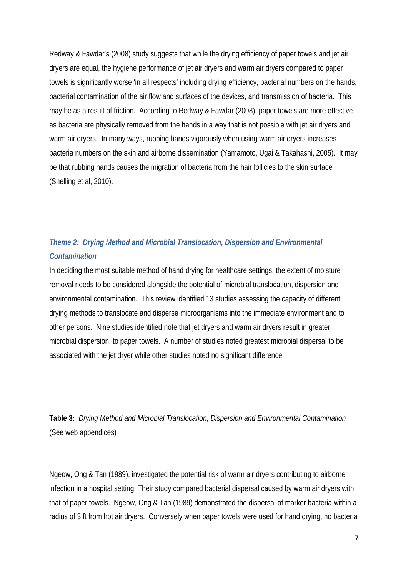Redway & Fawdar's (2008) study suggests that while the drying efficiency of paper towels and jet air dryers are equal, the hygiene performance of jet air dryers and warm air dryers compared to paper towels is significantly worse 'in all respects' including drying efficiency, bacterial numbers on the hands, bacterial contamination of the air flow and surfaces of the devices, and transmission of bacteria. This may be as a result of friction. According to Redway & Fawdar (2008), paper towels are more effective as bacteria are physically removed from the hands in a way that is not possible with jet air dryers and warm air dryers. In many ways, rubbing hands vigorously when using warm air dryers increases bacteria numbers on the skin and airborne dissemination (Yamamoto, Ugai & Takahashi, 2005). It may be that rubbing hands causes the migration of bacteria from the hair follicles to the skin surface (Snelling et al, 2010).

# *Theme 2: Drying Method and Microbial Translocation, Dispersion and Environmental Contamination*

In deciding the most suitable method of hand drying for healthcare settings, the extent of moisture removal needs to be considered alongside the potential of microbial translocation, dispersion and environmental contamination. This review identified 13 studies assessing the capacity of different drying methods to translocate and disperse microorganisms into the immediate environment and to other persons. Nine studies identified note that jet dryers and warm air dryers result in greater microbial dispersion, to paper towels. A number of studies noted greatest microbial dispersal to be associated with the jet dryer while other studies noted no significant difference.

**Table 3:** *Drying Method and Microbial Translocation, Dispersion and Environmental Contamination* (See web appendices)

Ngeow, Ong & Tan (1989), investigated the potential risk of warm air dryers contributing to airborne infection in a hospital setting. Their study compared bacterial dispersal caused by warm air dryers with that of paper towels. Ngeow, Ong & Tan (1989) demonstrated the dispersal of marker bacteria within a radius of 3 ft from hot air dryers. Conversely when paper towels were used for hand drying, no bacteria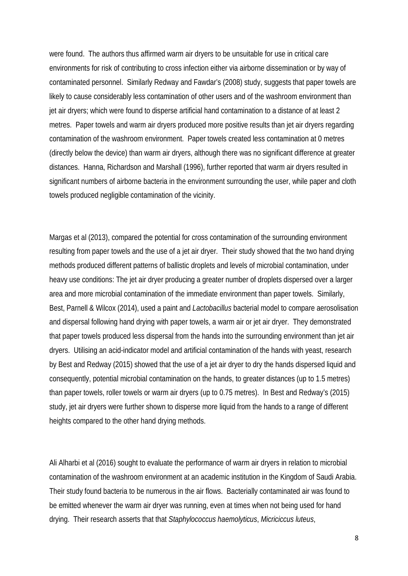were found. The authors thus affirmed warm air dryers to be unsuitable for use in critical care environments for risk of contributing to cross infection either via airborne dissemination or by way of contaminated personnel. Similarly Redway and Fawdar's (2008) study, suggests that paper towels are likely to cause considerably less contamination of other users and of the washroom environment than jet air dryers; which were found to disperse artificial hand contamination to a distance of at least 2 metres. Paper towels and warm air dryers produced more positive results than jet air dryers regarding contamination of the washroom environment. Paper towels created less contamination at 0 metres (directly below the device) than warm air dryers, although there was no significant difference at greater distances. Hanna, Richardson and Marshall (1996), further reported that warm air dryers resulted in significant numbers of airborne bacteria in the environment surrounding the user, while paper and cloth towels produced negligible contamination of the vicinity.

Margas et al (2013), compared the potential for cross contamination of the surrounding environment resulting from paper towels and the use of a jet air dryer. Their study showed that the two hand drying methods produced different patterns of ballistic droplets and levels of microbial contamination, under heavy use conditions: The jet air dryer producing a greater number of droplets dispersed over a larger area and more microbial contamination of the immediate environment than paper towels. Similarly, Best, Parnell & Wilcox (2014), used a paint and *Lactobacillus* bacterial model to compare aerosolisation and dispersal following hand drying with paper towels, a warm air or jet air dryer. They demonstrated that paper towels produced less dispersal from the hands into the surrounding environment than jet air dryers. Utilising an acid-indicator model and artificial contamination of the hands with yeast, research by Best and Redway (2015) showed that the use of a jet air dryer to dry the hands dispersed liquid and consequently, potential microbial contamination on the hands, to greater distances (up to 1.5 metres) than paper towels, roller towels or warm air dryers (up to 0.75 metres). In Best and Redway's (2015) study, jet air dryers were further shown to disperse more liquid from the hands to a range of different heights compared to the other hand drying methods.

Ali Alharbi et al (2016) sought to evaluate the performance of warm air dryers in relation to microbial contamination of the washroom environment at an academic institution in the Kingdom of Saudi Arabia. Their study found bacteria to be numerous in the air flows. Bacterially contaminated air was found to be emitted whenever the warm air dryer was running, even at times when not being used for hand drying. Their research asserts that that *Staphylococcus haemolyticus*, *Micriciccus luteus*,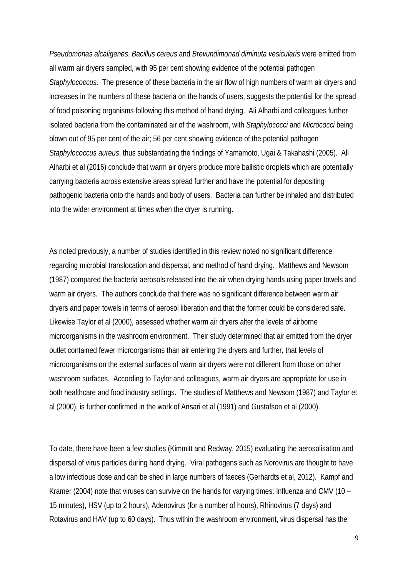*Pseudomonas alcaligenes*, *Bacillus cereus* and *Brevundimonad diminuta vesicularis* were emitted from all warm air dryers sampled, with 95 per cent showing evidence of the potential pathogen *Staphylococcus*. The presence of these bacteria in the air flow of high numbers of warm air dryers and increases in the numbers of these bacteria on the hands of users, suggests the potential for the spread of food poisoning organisms following this method of hand drying. Ali Alharbi and colleagues further isolated bacteria from the contaminated air of the washroom, with *Staphylococci* and *Micrococci* being blown out of 95 per cent of the air; 56 per cent showing evidence of the potential pathogen *Staphylococcus aureus*, thus substantiating the findings of Yamamoto, Ugai & Takahashi (2005). Ali Alharbi et al (2016) conclude that warm air dryers produce more ballistic droplets which are potentially carrying bacteria across extensive areas spread further and have the potential for depositing pathogenic bacteria onto the hands and body of users. Bacteria can further be inhaled and distributed into the wider environment at times when the dryer is running.

As noted previously, a number of studies identified in this review noted no significant difference regarding microbial translocation and dispersal, and method of hand drying. Matthews and Newsom (1987) compared the bacteria aerosols released into the air when drying hands using paper towels and warm air dryers. The authors conclude that there was no significant difference between warm air dryers and paper towels in terms of aerosol liberation and that the former could be considered safe. Likewise Taylor et al (2000), assessed whether warm air dryers alter the levels of airborne microorganisms in the washroom environment. Their study determined that air emitted from the dryer outlet contained fewer microorganisms than air entering the dryers and further, that levels of microorganisms on the external surfaces of warm air dryers were not different from those on other washroom surfaces. According to Taylor and colleagues, warm air dryers are appropriate for use in both healthcare and food industry settings. The studies of Matthews and Newsom (1987) and Taylor et al (2000), is further confirmed in the work of Ansari et al (1991) and Gustafson et al (2000).

To date, there have been a few studies (Kimmitt and Redway, 2015) evaluating the aerosolisation and dispersal of virus particles during hand drying. Viral pathogens such as Norovirus are thought to have a low infectious dose and can be shed in large numbers of faeces (Gerhardts et al, 2012). Kampf and Kramer (2004) note that viruses can survive on the hands for varying times: Influenza and CMV (10 – 15 minutes), HSV (up to 2 hours), Adenovirus (for a number of hours), Rhinovirus (7 days) and Rotavirus and HAV (up to 60 days). Thus within the washroom environment, virus dispersal has the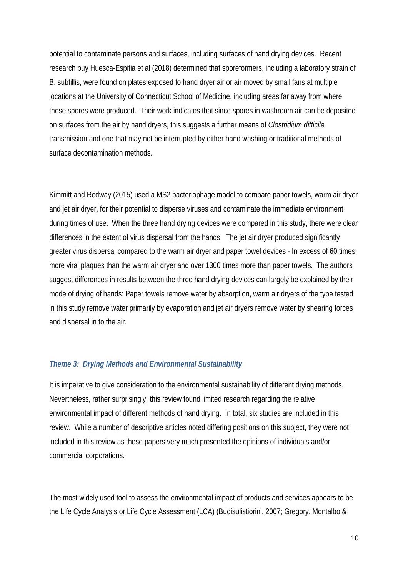potential to contaminate persons and surfaces, including surfaces of hand drying devices. Recent research buy Huesca-Espitia et al (2018) determined that sporeformers, including a laboratory strain of B. subtillis, were found on plates exposed to hand dryer air or air moved by small fans at multiple locations at the University of Connecticut School of Medicine, including areas far away from where these spores were produced. Their work indicates that since spores in washroom air can be deposited on surfaces from the air by hand dryers, this suggests a further means of *Clostridium difficile* transmission and one that may not be interrupted by either hand washing or traditional methods of surface decontamination methods.

Kimmitt and Redway (2015) used a MS2 bacteriophage model to compare paper towels, warm air dryer and jet air dryer, for their potential to disperse viruses and contaminate the immediate environment during times of use. When the three hand drying devices were compared in this study, there were clear differences in the extent of virus dispersal from the hands. The jet air dryer produced significantly greater virus dispersal compared to the warm air dryer and paper towel devices - In excess of 60 times more viral plaques than the warm air dryer and over 1300 times more than paper towels. The authors suggest differences in results between the three hand drying devices can largely be explained by their mode of drying of hands: Paper towels remove water by absorption, warm air dryers of the type tested in this study remove water primarily by evaporation and jet air dryers remove water by shearing forces and dispersal in to the air.

### *Theme 3: Drying Methods and Environmental Sustainability*

It is imperative to give consideration to the environmental sustainability of different drying methods. Nevertheless, rather surprisingly, this review found limited research regarding the relative environmental impact of different methods of hand drying. In total, six studies are included in this review. While a number of descriptive articles noted differing positions on this subject, they were not included in this review as these papers very much presented the opinions of individuals and/or commercial corporations.

The most widely used tool to assess the environmental impact of products and services appears to be the Life Cycle Analysis or Life Cycle Assessment (LCA) (Budisulistiorini, 2007; Gregory, Montalbo &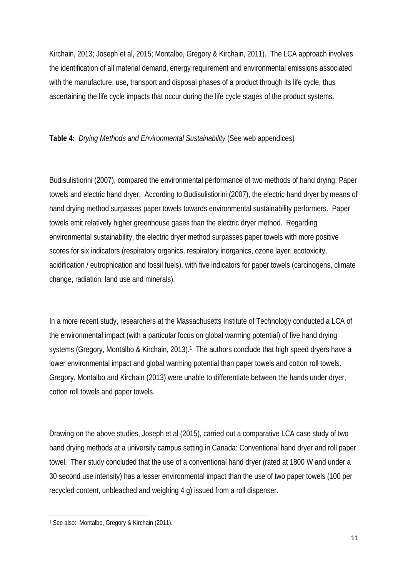Kirchain, 2013; Joseph et al, 2015; Montalbo, Gregory & Kirchain, 2011). The LCA approach involves the identification of all material demand, energy requirement and environmental emissions associated with the manufacture, use, transport and disposal phases of a product through its life cycle, thus ascertaining the life cycle impacts that occur during the life cycle stages of the product systems.

# **Table 4:** *Drying Methods and Environmental Sustainability* (See web appendices)

Budisulistiorini (2007), compared the environmental performance of two methods of hand drying: Paper towels and electric hand dryer. According to Budisulistiorini (2007), the electric hand dryer by means of hand drying method surpasses paper towels towards environmental sustainability performers. Paper towels emit relatively higher greenhouse gases than the electric dryer method. Regarding environmental sustainability, the electric dryer method surpasses paper towels with more positive scores for six indicators (respiratory organics, respiratory inorganics, ozone layer, ecotoxicity, acidification / eutrophication and fossil fuels), with five indicators for paper towels (carcinogens, climate change, radiation, land use and minerals).

In a more recent study, researchers at the Massachusetts Institute of Technology conducted a LCA of the environmental impact (with a particular focus on global warming potential) of five hand drying systems (Gregory, Montalbo & Kirchain, 2013).<sup>1</sup> The authors conclude that high speed dryers have a lower environmental impact and global warming potential than paper towels and cotton roll towels. Gregory, Montalbo and Kirchain (2013) were unable to differentiate between the hands under dryer, cotton roll towels and paper towels.

Drawing on the above studies, Joseph et al (2015), carried out a comparative LCA case study of two hand drying methods at a university campus setting in Canada: Conventional hand dryer and roll paper towel. Their study concluded that the use of a conventional hand dryer (rated at 1800 W and under a 30 second use intensity) has a lesser environmental impact than the use of two paper towels (100 per recycled content, unbleached and weighing 4 g) issued from a roll dispenser.

 $\overline{a}$ <sup>1</sup> See also: Montalbo, Gregory & Kirchain (2011).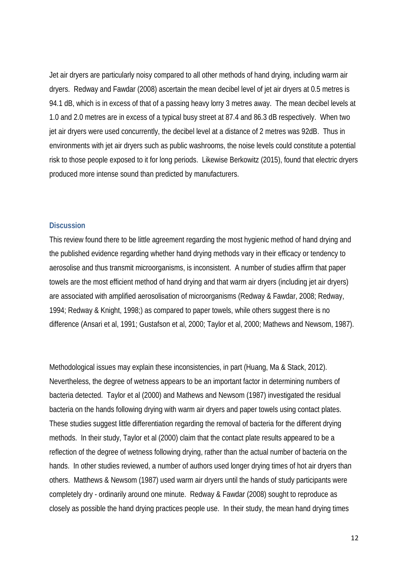Jet air dryers are particularly noisy compared to all other methods of hand drying, including warm air dryers. Redway and Fawdar (2008) ascertain the mean decibel level of jet air dryers at 0.5 metres is 94.1 dB, which is in excess of that of a passing heavy lorry 3 metres away. The mean decibel levels at 1.0 and 2.0 metres are in excess of a typical busy street at 87.4 and 86.3 dB respectively. When two jet air dryers were used concurrently, the decibel level at a distance of 2 metres was 92dB. Thus in environments with jet air dryers such as public washrooms, the noise levels could constitute a potential risk to those people exposed to it for long periods. Likewise Berkowitz (2015), found that electric dryers produced more intense sound than predicted by manufacturers.

#### **Discussion**

This review found there to be little agreement regarding the most hygienic method of hand drying and the published evidence regarding whether hand drying methods vary in their efficacy or tendency to aerosolise and thus transmit microorganisms, is inconsistent. A number of studies affirm that paper towels are the most efficient method of hand drying and that warm air dryers (including jet air dryers) are associated with amplified aerosolisation of microorganisms (Redway & Fawdar, 2008; Redway, 1994; Redway & Knight, 1998;) as compared to paper towels, while others suggest there is no difference (Ansari et al, 1991; Gustafson et al, 2000; Taylor et al, 2000; Mathews and Newsom, 1987).

Methodological issues may explain these inconsistencies, in part (Huang, Ma & Stack, 2012). Nevertheless, the degree of wetness appears to be an important factor in determining numbers of bacteria detected. Taylor et al (2000) and Mathews and Newsom (1987) investigated the residual bacteria on the hands following drying with warm air dryers and paper towels using contact plates. These studies suggest little differentiation regarding the removal of bacteria for the different drying methods. In their study, Taylor et al (2000) claim that the contact plate results appeared to be a reflection of the degree of wetness following drying, rather than the actual number of bacteria on the hands. In other studies reviewed, a number of authors used longer drying times of hot air dryers than others. Matthews & Newsom (1987) used warm air dryers until the hands of study participants were completely dry - ordinarily around one minute. Redway & Fawdar (2008) sought to reproduce as closely as possible the hand drying practices people use. In their study, the mean hand drying times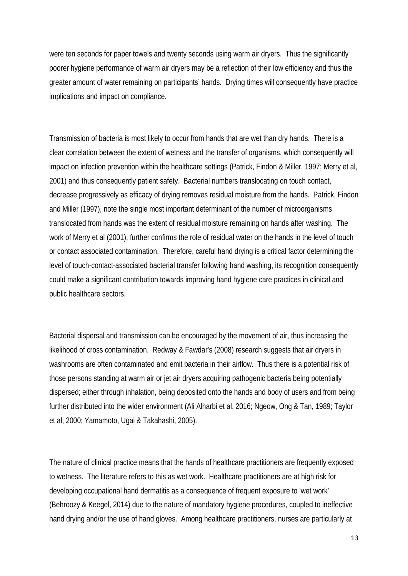were ten seconds for paper towels and twenty seconds using warm air dryers. Thus the significantly poorer hygiene performance of warm air dryers may be a reflection of their low efficiency and thus the greater amount of water remaining on participants' hands. Drying times will consequently have practice implications and impact on compliance.

Transmission of bacteria is most likely to occur from hands that are wet than dry hands. There is a clear correlation between the extent of wetness and the transfer of organisms, which consequently will impact on infection prevention within the healthcare settings (Patrick, Findon & Miller, 1997; Merry et al, 2001) and thus consequently patient safety. Bacterial numbers translocating on touch contact, decrease progressively as efficacy of drying removes residual moisture from the hands. Patrick, Findon and Miller (1997), note the single most important determinant of the number of microorganisms translocated from hands was the extent of residual moisture remaining on hands after washing. The work of Merry et al (2001), further confirms the role of residual water on the hands in the level of touch or contact associated contamination. Therefore, careful hand drying is a critical factor determining the level of touch-contact-associated bacterial transfer following hand washing, its recognition consequently could make a significant contribution towards improving hand hygiene care practices in clinical and public healthcare sectors.

Bacterial dispersal and transmission can be encouraged by the movement of air, thus increasing the likelihood of cross contamination. Redway & Fawdar's (2008) research suggests that air dryers in washrooms are often contaminated and emit bacteria in their airflow. Thus there is a potential risk of those persons standing at warm air or jet air dryers acquiring pathogenic bacteria being potentially dispersed; either through inhalation, being deposited onto the hands and body of users and from being further distributed into the wider environment (Ali Alharbi et al, 2016; Ngeow, Ong & Tan, 1989; Taylor et al, 2000; Yamamoto, Ugai & Takahashi, 2005).

The nature of clinical practice means that the hands of healthcare practitioners are frequently exposed to wetness. The literature refers to this as wet work. Healthcare practitioners are at high risk for developing occupational hand dermatitis as a consequence of frequent exposure to 'wet work' (Behroozy & Keegel, 2014) due to the nature of mandatory hygiene procedures, coupled to ineffective hand drying and/or the use of hand gloves. Among healthcare practitioners, nurses are particularly at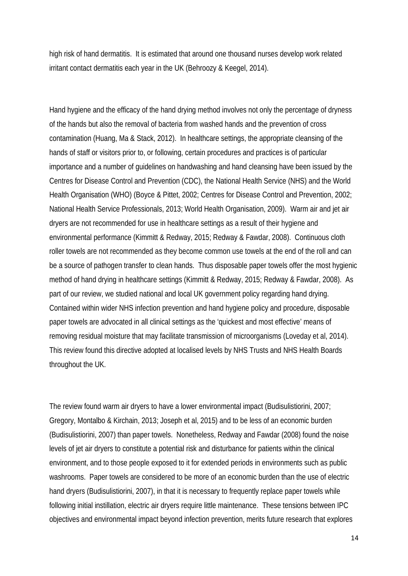high risk of hand dermatitis. It is estimated that around one thousand nurses develop work related irritant contact dermatitis each year in the UK (Behroozy & Keegel, 2014).

Hand hygiene and the efficacy of the hand drying method involves not only the percentage of dryness of the hands but also the removal of bacteria from washed hands and the prevention of cross contamination (Huang, Ma & Stack, 2012). In healthcare settings, the appropriate cleansing of the hands of staff or visitors prior to, or following, certain procedures and practices is of particular importance and a number of guidelines on handwashing and hand cleansing have been issued by the Centres for Disease Control and Prevention (CDC), the National Health Service (NHS) and the World Health Organisation (WHO) (Boyce & Pittet, 2002; Centres for Disease Control and Prevention, 2002; National Health Service Professionals, 2013; World Health Organisation, 2009). Warm air and jet air dryers are not recommended for use in healthcare settings as a result of their hygiene and environmental performance (Kimmitt & Redway, 2015; Redway & Fawdar, 2008). Continuous cloth roller towels are not recommended as they become common use towels at the end of the roll and can be a source of pathogen transfer to clean hands. Thus disposable paper towels offer the most hygienic method of hand drying in healthcare settings (Kimmitt & Redway, 2015; Redway & Fawdar, 2008). As part of our review, we studied national and local UK government policy regarding hand drying. Contained within wider NHS infection prevention and hand hygiene policy and procedure, disposable paper towels are advocated in all clinical settings as the 'quickest and most effective' means of removing residual moisture that may facilitate transmission of microorganisms (Loveday et al, 2014). This review found this directive adopted at localised levels by NHS Trusts and NHS Health Boards throughout the UK.

The review found warm air dryers to have a lower environmental impact (Budisulistiorini, 2007; Gregory, Montalbo & Kirchain, 2013; Joseph et al, 2015) and to be less of an economic burden (Budisulistiorini, 2007) than paper towels. Nonetheless, Redway and Fawdar (2008) found the noise levels of jet air dryers to constitute a potential risk and disturbance for patients within the clinical environment, and to those people exposed to it for extended periods in environments such as public washrooms. Paper towels are considered to be more of an economic burden than the use of electric hand dryers (Budisulistiorini, 2007), in that it is necessary to frequently replace paper towels while following initial instillation, electric air dryers require little maintenance. These tensions between IPC objectives and environmental impact beyond infection prevention, merits future research that explores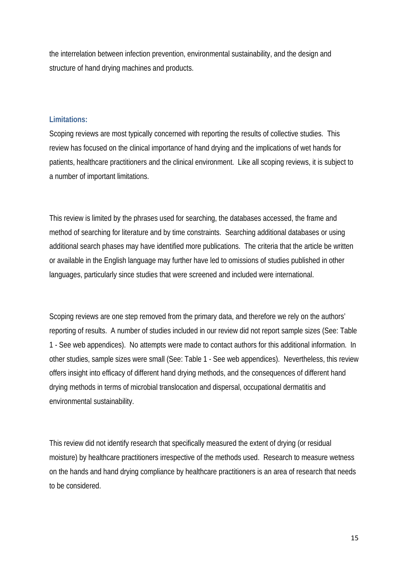the interrelation between infection prevention, environmental sustainability, and the design and structure of hand drying machines and products.

# **Limitations:**

Scoping reviews are most typically concerned with reporting the results of collective studies. This review has focused on the clinical importance of hand drying and the implications of wet hands for patients, healthcare practitioners and the clinical environment. Like all scoping reviews, it is subject to a number of important limitations.

This review is limited by the phrases used for searching, the databases accessed, the frame and method of searching for literature and by time constraints. Searching additional databases or using additional search phases may have identified more publications. The criteria that the article be written or available in the English language may further have led to omissions of studies published in other languages, particularly since studies that were screened and included were international.

Scoping reviews are one step removed from the primary data, and therefore we rely on the authors' reporting of results. A number of studies included in our review did not report sample sizes (See: Table 1 - See web appendices). No attempts were made to contact authors for this additional information. In other studies, sample sizes were small (See: Table 1 - See web appendices). Nevertheless, this review offers insight into efficacy of different hand drying methods, and the consequences of different hand drying methods in terms of microbial translocation and dispersal, occupational dermatitis and environmental sustainability.

This review did not identify research that specifically measured the extent of drying (or residual moisture) by healthcare practitioners irrespective of the methods used. Research to measure wetness on the hands and hand drying compliance by healthcare practitioners is an area of research that needs to be considered.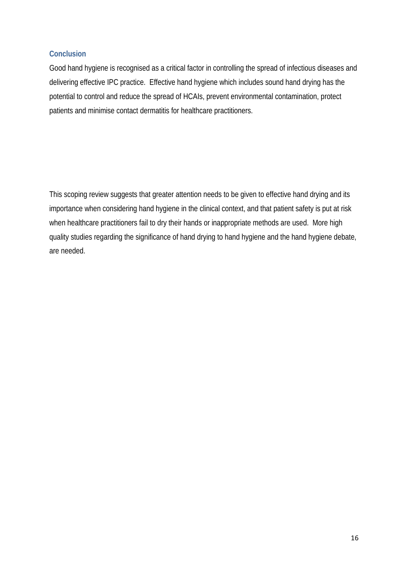# **Conclusion**

Good hand hygiene is recognised as a critical factor in controlling the spread of infectious diseases and delivering effective IPC practice. Effective hand hygiene which includes sound hand drying has the potential to control and reduce the spread of HCAIs, prevent environmental contamination, protect patients and minimise contact dermatitis for healthcare practitioners.

This scoping review suggests that greater attention needs to be given to effective hand drying and its importance when considering hand hygiene in the clinical context, and that patient safety is put at risk when healthcare practitioners fail to dry their hands or inappropriate methods are used. More high quality studies regarding the significance of hand drying to hand hygiene and the hand hygiene debate, are needed.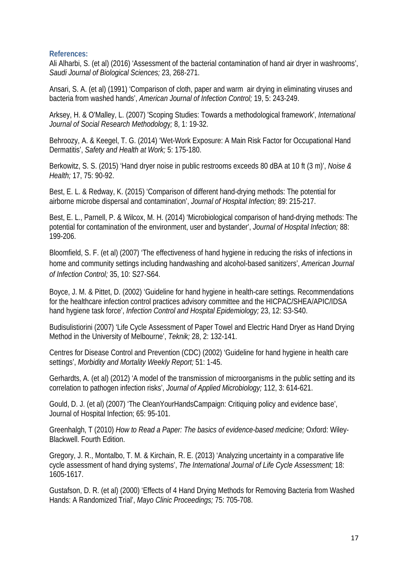# **References:**

Ali Alharbi, S. (et al) (2016) 'Assessment of the bacterial contamination of hand air dryer in washrooms', *Saudi Journal of Biological Sciences;* 23, 268-271.

Ansari, S. A. (et al) (1991) 'Comparison of cloth, paper and warm air drying in eliminating viruses and bacteria from washed hands', *American Journal of Infection Control;* 19, 5: 243-249.

Arksey, H. & O'Malley, L. (2007) 'Scoping Studies: Towards a methodological framework', *International Journal of Social Research Methodolog*y*;* 8, 1: 19-32.

Behroozy, A. & Keegel, T. G. (2014) 'Wet-Work Exposure: A Main Risk Factor for Occupational Hand Dermatitis', *Safety and Health at Work;* 5: 175-180.

Berkowitz, S. S. (2015) 'Hand dryer noise in public restrooms exceeds 80 dBA at 10 ft (3 m)', *Noise & Health;* 17, 75: 90-92.

Best, E. L. & Redway, K. (2015) 'Comparison of different hand-drying methods: The potential for airborne microbe dispersal and contamination', *Journal of Hospital Infection;* 89: 215-217.

Best, E. L., Parnell, P. & Wilcox, M. H. (2014) 'Microbiological comparison of hand-drying methods: The potential for contamination of the environment, user and bystander', *Journal of Hospital Infection;* 88: 199-206.

Bloomfield, S. F. (et al) (2007) 'The effectiveness of hand hygiene in reducing the risks of infections in home and community settings including handwashing and alcohol-based sanitizers', *American Journal of Infection Control;* 35, 10: S27-S64.

Boyce, J. M. & Pittet, D. (2002) 'Guideline for hand hygiene in health-care settings. Recommendations for the healthcare infection control practices advisory committee and the HICPAC/SHEA/APIC/IDSA hand hygiene task force', *Infection Control and Hospital Epidemiology;* 23, 12: S3-S40.

Budisulistiorini (2007) 'Life Cycle Assessment of Paper Towel and Electric Hand Dryer as Hand Drying Method in the University of Melbourne', *Teknik;* 28, 2: 132-141.

Centres for Disease Control and Prevention (CDC) (2002) 'Guideline for hand hygiene in health care settings', *Morbidity and Mortality Weekly Report;* 51: 1-45.

Gerhardts, A. (et al) (2012) 'A model of the transmission of microorganisms in the public setting and its correlation to pathogen infection risks', *Journal of Applied Microbiology;* 112, 3: 614-621.

Gould, D. J. (et al) (2007) 'The CleanYourHandsCampaign: Critiquing policy and evidence base', Journal of Hospital Infection; 65: 95-101.

Greenhalgh, T (2010) *How to Read a Paper: The basics of evidence-based medicine;* Oxford: Wiley-Blackwell. Fourth Edition.

Gregory, J. R., Montalbo, T. M. & Kirchain, R. E. (2013) 'Analyzing uncertainty in a comparative life cycle assessment of hand drying systems', *The International Journal of Life Cycle Assessment;* 18: 1605-1617.

Gustafson, D. R. (et al) (2000) 'Effects of 4 Hand Drying Methods for Removing Bacteria from Washed Hands: A Randomized Trial', *Mayo Clinic Proceedings;* 75: 705-708.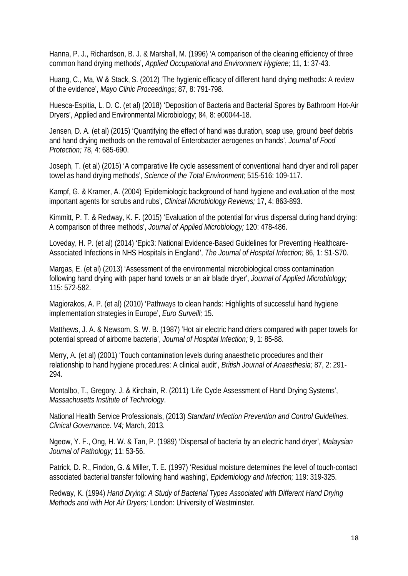Hanna, P. J., Richardson, B. J. & Marshall, M. (1996) 'A comparison of the cleaning efficiency of three common hand drying methods', *Applied Occupational and Environment Hygiene;* 11, 1: 37-43.

Huang, C., Ma, W & Stack, S. (2012) 'The hygienic efficacy of different hand drying methods: A review of the evidence', *Mayo Clinic Proceedings;* 87, 8: 791-798.

Huesca-Espitia, L. D. C. (et al) (2018) 'Deposition of Bacteria and Bacterial Spores by Bathroom Hot-Air Dryers', Applied and Environmental Microbiology; 84, 8: e00044-18.

Jensen, D. A. (et al) (2015) 'Quantifying the effect of hand was duration, soap use, ground beef debris and hand drying methods on the removal of Enterobacter aerogenes on hands', *Journal of Food Protection;* 78, 4: 685-690.

Joseph, T. (et al) (2015) 'A comparative life cycle assessment of conventional hand dryer and roll paper towel as hand drying methods', *Science of the Total Environment;* 515-516: 109-117.

Kampf, G. & Kramer, A. (2004) 'Epidemiologic background of hand hygiene and evaluation of the most important agents for scrubs and rubs', *Clinical Microbiology Reviews;* 17, 4: 863-893.

Kimmitt, P. T. & Redway, K. F. (2015) 'Evaluation of the potential for virus dispersal during hand drying: A comparison of three methods', *Journal of Applied Microbiology;* 120: 478-486.

Loveday, H. P. (et al) (2014) 'Epic3: National Evidence-Based Guidelines for Preventing Healthcare-Associated Infections in NHS Hospitals in England', *The Journal of Hospital Infection;* 86, 1: S1-S70.

Margas, E. (et al) (2013) 'Assessment of the environmental microbiological cross contamination following hand drying with paper hand towels or an air blade dryer', *Journal of Applied Microbiology;* 115: 572-582.

Magiorakos, A. P. (et al) (2010) 'Pathways to clean hands: Highlights of successful hand hygiene implementation strategies in Europe', *Euro Surveill;* 15.

Matthews, J. A. & Newsom, S. W. B. (1987) 'Hot air electric hand driers compared with paper towels for potential spread of airborne bacteria', *Journal of Hospital Infection;* 9, 1: 85-88.

Merry, A. (et al) (2001) 'Touch contamination levels during anaesthetic procedures and their relationship to hand hygiene procedures: A clinical audit', *British Journal of Anaesthesia;* 87, 2: 291- 294.

Montalbo, T., Gregory, J. & Kirchain, R. (2011) 'Life Cycle Assessment of Hand Drying Systems', *Massachusetts Institute of Technology*.

National Health Service Professionals, (2013) *Standard Infection Prevention and Control Guidelines. Clinical Governance. V4;* March, 2013.

Ngeow, Y. F., Ong, H. W. & Tan, P. (1989) 'Dispersal of bacteria by an electric hand dryer', *Malaysian Journal of Pathology;* 11: 53-56.

Patrick, D. R., Findon, G. & Miller, T. E. (1997) 'Residual moisture determines the level of touch-contact associated bacterial transfer following hand washing', *Epidemiology and Infection;* 119: 319-325.

Redway, K. (1994) *Hand Drying: A Study of Bacterial Types Associated with Different Hand Drying Methods and with Hot Air Dryers;* London: University of Westminster.